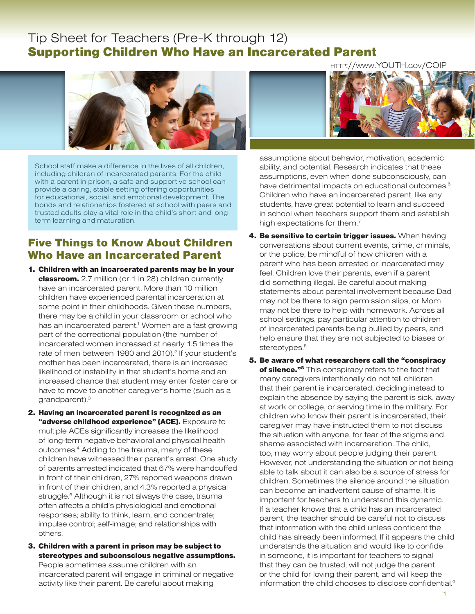# Tip Sheet for Teachers (Pre-K through 12) Supporting Children Who Have an Incarcerated Parent



School staff make a difference in the lives of all children, including children of incarcerated parents. For the child with a parent in prison, a safe and supportive school can provide a caring, stable setting offering opportunities for educational, social, and emotional development. The bonds and relationships fostered at school with peers and trusted adults play a vital role in the child's short and long term learning and maturation.

## Five Things to Know About Children Who Have an Incarcerated Parent

- 1. Children with an incarcerated parents may be in your classroom. 2.7 million (or 1 in 28) children currently have an incarcerated parent. More than 10 million children have experienced parental incarceration at some point in their childhoods. Given these numbers, there may be a child in your classroom or school who has an incarcerated parent.<sup>1</sup> Women are a fast growing part of the correctional population (the number of incarcerated women increased at nearly 1.5 times the rate of men between 1980 and 2010).<sup>2</sup> If your student's mother has been incarcerated, there is an increased likelihood of instability in that student's home and an increased chance that student may enter foster care or have to move to another caregiver's home (such as a grandparent).3
- 2. Having an incarcerated parent is recognized as an "adverse childhood experience" (ACE). Exposure to multiple ACEs significantly increases the likelihood of long-term negative behavioral and physical health outcomes.4 Adding to the trauma, many of these children have witnessed their parent's arrest. One study of parents arrested indicated that 67% were handcuffed in front of their children, 27% reported weapons drawn in front of their children, and 4.3% reported a physical struggle.<sup>5</sup> Although it is not always the case, trauma often affects a child's physiological and emotional responses; ability to think, learn, and concentrate; impulse control; self-image; and relationships with others.
- 3. Children with a parent in prison may be subject to stereotypes and subconscious negative assumptions. People sometimes assume children with an incarcerated parent will engage in criminal or negative activity like their parent. Be careful about making

[http://www.YOUTH.gov/COIP](http://www.youth.gov/COIP)



assumptions about behavior, motivation, academic ability, and potential. Research indicates that these assumptions, even when done subconsciously, can have detrimental impacts on educational outcomes.<sup>6</sup> Children who have an incarcerated parent, like any students, have great potential to learn and succeed in school when teachers support them and establish high expectations for them.<sup>7</sup>

- 4. Be sensitive to certain trigger issues. When having conversations about current events, crime, criminals, or the police, be mindful of how children with a parent who has been arrested or incarcerated may feel. Children love their parents, even if a parent did something illegal. Be careful about making statements about parental involvement because Dad may not be there to sign permission slips, or Mom may not be there to help with homework. Across all school settings, pay particular attention to children of incarcerated parents being bullied by peers, and help ensure that they are not subjected to biases or stereotypes.<sup>6</sup>
- 5. Be aware of what researchers call the "conspiracy of silence."<sup>8</sup> This conspiracy refers to the fact that many caregivers intentionally do not tell children that their parent is incarcerated, deciding instead to explain the absence by saying the parent is sick, away at work or college, or serving time in the military. For children who know their parent is incarcerated, their caregiver may have instructed them to not discuss the situation with anyone, for fear of the stigma and shame associated with incarceration. The child, too, may worry about people judging their parent. However, not understanding the situation or not being able to talk about it can also be a source of stress for children. Sometimes the silence around the situation can become an inadvertent cause of shame. It is important for teachers to understand this dynamic. If a teacher knows that a child has an incarcerated parent, the teacher should be careful not to discuss that information with the child unless confident the child has already been informed. If it appears the child understands the situation and would like to confide in someone, it is important for teachers to signal that they can be trusted, will not judge the parent or the child for loving their parent, and will keep the information the child chooses to disclose confidential.<sup>9</sup>